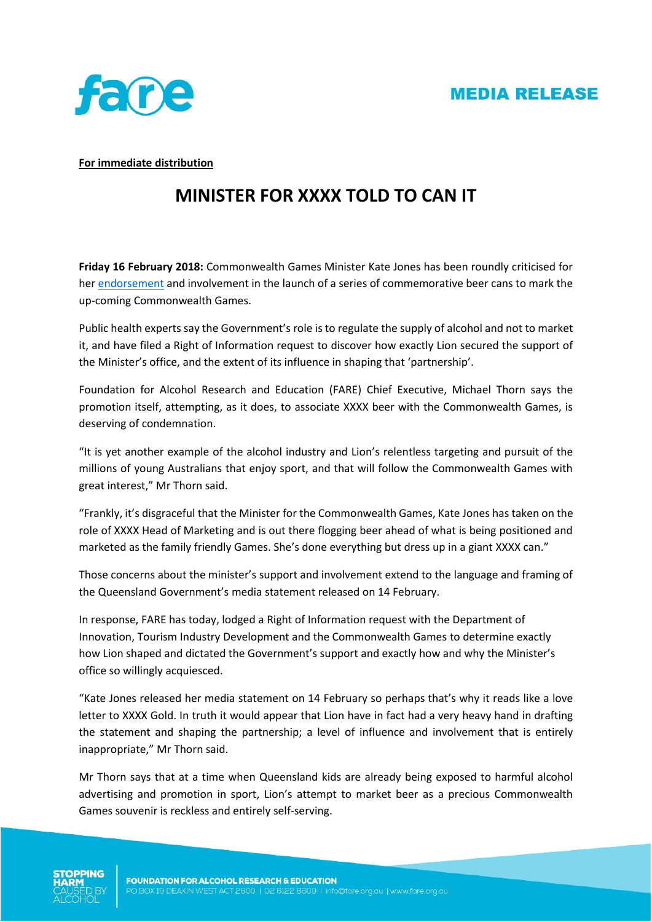



**For immediate distribution**

## **MINISTER FOR XXXX TOLD TO CAN IT**

**Friday 16 February 2018:** Commonwealth Games Minister Kate Jones has been roundly criticised for he[r endorsement](http://statements.qld.gov.au/Statement/2018/2/14/minister-reveals-commonwealth-games-beer-cans) and involvement in the launch of a series of commemorative beer cans to mark the up-coming Commonwealth Games.

Public health experts say the Government's role is to regulate the supply of alcohol and not to market it, and have filed a Right of Information request to discover how exactly Lion secured the support of the Minister's office, and the extent of its influence in shaping that 'partnership'.

Foundation for Alcohol Research and Education (FARE) Chief Executive, Michael Thorn says the promotion itself, attempting, as it does, to associate XXXX beer with the Commonwealth Games, is deserving of condemnation.

"It is yet another example of the alcohol industry and Lion's relentless targeting and pursuit of the millions of young Australians that enjoy sport, and that will follow the Commonwealth Games with great interest," Mr Thorn said.

"Frankly, it's disgraceful that the Minister for the Commonwealth Games, Kate Jones has taken on the role of XXXX Head of Marketing and is out there flogging beer ahead of what is being positioned and marketed as the family friendly Games. She's done everything but dress up in a giant XXXX can."

Those concerns about the minister's support and involvement extend to the language and framing of the Queensland Government's media statement released on 14 February.

In response, FARE has today, lodged a Right of Information request with the Department of Innovation, Tourism Industry Development and the Commonwealth Games to determine exactly how Lion shaped and dictated the Government's support and exactly how and why the Minister's office so willingly acquiesced.

"Kate Jones released her media statement on 14 February so perhaps that's why it reads like a love letter to XXXX Gold. In truth it would appear that Lion have in fact had a very heavy hand in drafting the statement and shaping the partnership; a level of influence and involvement that is entirely inappropriate," Mr Thorn said.

Mr Thorn says that at a time when Queensland kids are already being exposed to harmful alcohol advertising and promotion in sport, Lion's attempt to market beer as a precious Commonwealth Games souvenir is reckless and entirely self-serving.